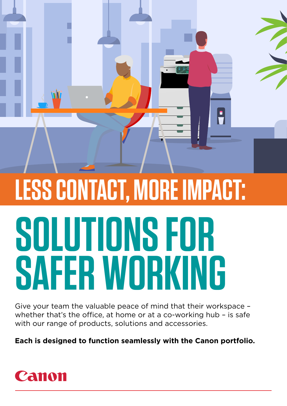# **SOLUTIONS FOR SAFER WORKING LESS CONTACT, MORE IMPACT:**

 $\frac{1}{\pi}$ 

Give your team the valuable peace of mind that their workspace – whether that's the office, at home or at a co-working hub – is safe with our range of products, solutions and accessories.

**Each is designed to function seamlessly with the Canon portfolio.**



MI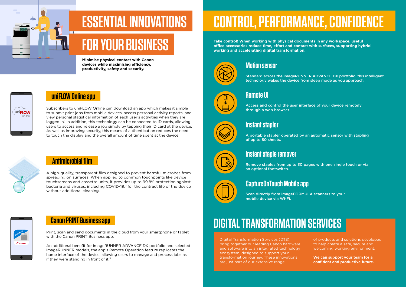Digital Transformation Services (DTS), bring together our leading Canon hardware and software into an integrated technology ecosystem, designed to support your transformation journey. These innovations are just part of our extensive range



of products and solutions developed to help create a safe, secure and welcoming working environment.

**We can support your team for a confident and productive future.**

#### **Motion sensor**

Standard across the imageRUNNER ADVANCE DX portfolio, this intelligent technology wakes the device from sleep mode as you approach.



An additional benefit for imageRUNNER ADVANCE DX portfolio and selected imageRUNNER models, the app's Remote Operation feature replicates the home interface of the device, allowing users to manage and process jobs as if they were standing in front of it. $3$ 

## **Remote UI**

Access and control the user interface of your device remotely through a web browser.

## **Instant stapler**

A portable stapler operated by an automatic sensor with stapling of up to 50 sheets.

#### **Instant staple remover**

Remove staples from up to 30 pages with one single touch or via an optional footswitch.

#### **CaptureOnTouch Mobile app**

Scan directly from imageFORMULA scanners to your mobile device via Wi-Fi.



Print, scan and send documents in the cloud from your smartphone or tablet with the Canon PRINT Business app.

Subscribers to uniFLOW Online can download an app which makes it simple to submit print jobs from mobile devices, access personal activity reports, and view personal statistical information of each user's activities when they are logged in.<sup>1</sup> In addition, this technology can be connected to ID cards, allowing users to access and release a job simply by tapping their ID card at the device. As well as improving security, this means of authentication reduces the need to touch the display and the overall amount of time spent at the device.



A high-quality, transparent film designed to prevent harmful microbes from spreading on surfaces. When applied to common touchpoints like device touchscreens and cassette units, it provides up to 99.8% protection against bacteria and viruses, including COVID-19,2 for the contract life of the device without additional cleaning.

# **CONTROL, PERFORMANCE, CONFIDENCE**

**Take control! When working with physical documents in any workspace, useful office accessories reduce time, effort and contact with surfaces, supporting hybrid working and accelerating digital transformation.**



#### **uniFLOW Online app**

#### **Canon PRINT Business app**

## **Antimicrobial film**

# **ESSENTIAL INNOVATIONS**

# **FOR YOUR BUSINESS**

**Minimise physical contact with Canon devices while maximising efficiency, productivity, safety and security.**

# **LuniFLOW**

## **DIGITAL TRANSFORMATION SERVICES**